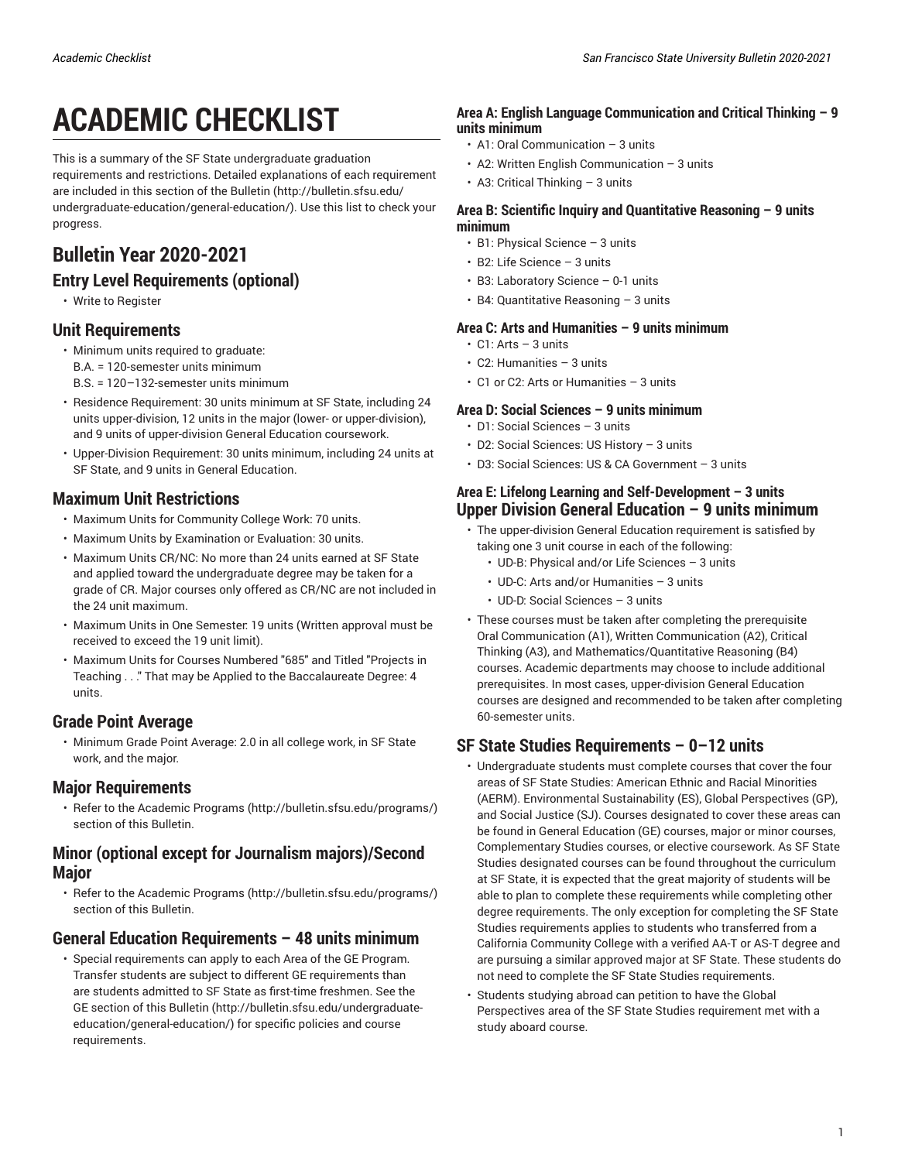# **ACADEMIC CHECKLIST**

This is a summary of the SF State undergraduate graduation requirements and restrictions. Detailed explanations of each requirement are included in [this section of the Bulletin](http://bulletin.sfsu.edu/undergraduate-education/general-education/) [\(http://bulletin.sfsu.edu/](http://bulletin.sfsu.edu/undergraduate-education/general-education/) [undergraduate-education/general-education/\)](http://bulletin.sfsu.edu/undergraduate-education/general-education/). Use this list to check your progress.

## **Bulletin Year 2020-2021**

## **Entry Level Requirements (optional)**

• Write to Register

## **Unit Requirements**

- Minimum units required to graduate:
	- B.A. = 120-semester units minimum
	- B.S. = 120–132-semester units minimum
- Residence Requirement: 30 units minimum at SF State, including 24 units upper-division, 12 units in the major (lower- or upper-division), and 9 units of upper-division General Education coursework.
- Upper-Division Requirement: 30 units minimum, including 24 units at SF State, and 9 units in General Education.

## **Maximum Unit Restrictions**

- Maximum Units for Community College Work: 70 units.
- Maximum Units by Examination or Evaluation: 30 units.
- Maximum Units CR/NC: No more than 24 units earned at SF State and applied toward the undergraduate degree may be taken for a grade of CR. Major courses only offered as CR/NC are not included in the 24 unit maximum.
- Maximum Units in One Semester: 19 units (Written approval must be received to exceed the 19 unit limit).
- Maximum Units for Courses Numbered "685" and Titled "Projects in Teaching . . ." That may be Applied to the Baccalaureate Degree: 4 units.

## **Grade Point Average**

• Minimum Grade Point Average: 2.0 in all college work, in SF State work, and the major.

## **Major Requirements**

• Refer to the [Academic](http://bulletin.sfsu.edu/programs/) Programs ([http://bulletin.sfsu.edu/programs/\)](http://bulletin.sfsu.edu/programs/) section of this Bulletin.

## **Minor (optional except for Journalism majors)/Second Major**

• Refer to the [Academic](http://bulletin.sfsu.edu/programs/) Programs ([http://bulletin.sfsu.edu/programs/\)](http://bulletin.sfsu.edu/programs/) section of this Bulletin.

## **General Education Requirements – 48 units minimum**

• Special requirements can apply to each Area of the GE Program. Transfer students are subject to different GE requirements than are students admitted to SF State as first-time freshmen. See the [GE section of this Bulletin \(http://bulletin.sfsu.edu/undergraduate](http://bulletin.sfsu.edu/undergraduate-education/general-education/)[education/general-education/](http://bulletin.sfsu.edu/undergraduate-education/general-education/)) for specific policies and course requirements.

#### **Area A: English Language Communication and Critical Thinking – 9 units minimum**

- A1: Oral Communication 3 units
- A2: Written English Communication 3 units
- $\cdot$  A3: Critical Thinking 3 units

#### **Area B: Scientific Inquiry and Quantitative Reasoning – 9 units minimum**

- B1: Physical Science 3 units
- B2: Life Science 3 units
- B3: Laboratory Science 0-1 units
- B4: Quantitative Reasoning 3 units

#### **Area C: Arts and Humanities – 9 units minimum**

- $\cdot$  C1: Arts 3 units
- C2: Humanities 3 units
- C1 or C2: Arts or Humanities 3 units

#### **Area D: Social Sciences – 9 units minimum**

- D1: Social Sciences 3 units
- D2: Social Sciences: US History 3 units
- D3: Social Sciences: US & CA Government 3 units

#### **Area E: Lifelong Learning and Self-Development – 3 units Upper Division General Education – 9 units minimum**

- The upper-division General Education requirement is satisfied by taking one 3 unit course in each of the following:
	- UD-B: Physical and/or Life Sciences 3 units
	- UD-C: Arts and/or Humanities 3 units
	- UD-D: Social Sciences 3 units
- These courses must be taken after completing the prerequisite Oral Communication (A1), Written Communication (A2), Critical Thinking (A3), and Mathematics/Quantitative Reasoning (B4) courses. Academic departments may choose to include additional prerequisites. In most cases, upper-division General Education courses are designed and recommended to be taken after completing 60-semester units.

## **SF State Studies Requirements – 0–12 units**

- Undergraduate students must complete courses that cover the four areas of SF State Studies: [American Ethnic and Racial Minorities](/undergraduate-education/sf-state-studies/aerm/) [\(AERM\).](/undergraduate-education/sf-state-studies/aerm/) [Environmental](/undergraduate-education/sf-state-studies/es/) Sustainability (ES), Global [Perspectives](/undergraduate-education/sf-state-studies/gp/) (GP), and [Social Justice \(SJ\)](/undergraduate-education/sf-state-studies/sj/). Courses designated to cover these areas can be found in General Education (GE) courses, major or minor courses, Complementary Studies courses, or elective coursework. As SF State Studies designated courses can be found throughout the curriculum at SF State, it is expected that the great majority of students will be able to plan to complete these requirements while completing other degree requirements. The only exception for completing the SF State Studies requirements applies to students who transferred from a California Community College with a verified AA-T or AS-T degree and are pursuing a similar approved major at SF State. These students do not need to complete the SF State Studies requirements.
- Students studying abroad can petition to have the Global Perspectives area of the SF State Studies requirement met with a study aboard course.